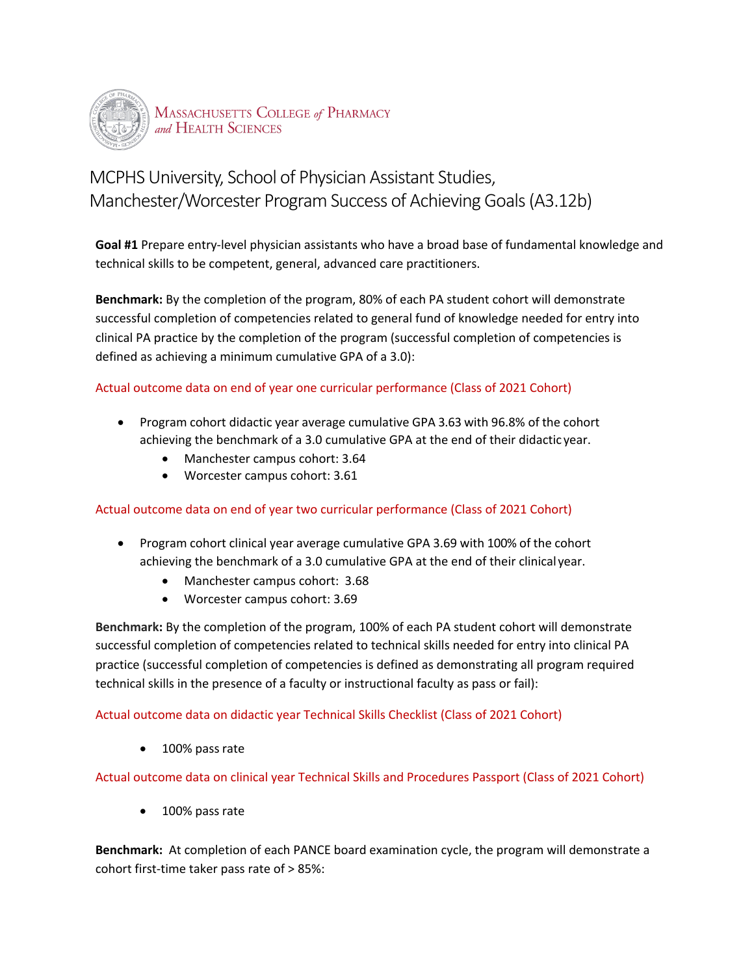

# MCPHS University, School of Physician Assistant Studies, Manchester/Worcester Program Success of Achieving Goals (A3.12b)

 **Goal #1** Prepare entry-level physician assistants who have a broad base of fundamental knowledge and technical skills to be competent, general, advanced care practitioners.

 **Benchmark:** By the completion of the program, 80% of each PA student cohort will demonstrate successful completion of competencies related to general fund of knowledge needed for entry into clinical PA practice by the completion of the program (successful completion of competencies is defined as achieving a minimum cumulative GPA of a 3.0):

## Actual outcome data on end of year one curricular performance (Class of 2021 Cohort)

- • Program cohort didactic year average cumulative GPA 3.63 with 96.8% of the cohort achieving the benchmark of a 3.0 cumulative GPA at the end of their didactic year.
	- Manchester campus cohort: 3.64
	- Worcester campus cohort: 3.61

## Actual outcome data on end of year two curricular performance (Class of 2021 Cohort)

- • Program cohort clinical year average cumulative GPA 3.69 with 100% of the cohort achieving the benchmark of a 3.0 cumulative GPA at the end of their clinicalyear.
	- Manchester campus cohort: 3.68
	- Worcester campus cohort: 3.69

 **Benchmark:** By the completion of the program, 100% of each PA student cohort will demonstrate successful completion of competencies related to technical skills needed for entry into clinical PA practice (successful completion of competencies is defined as demonstrating all program required technical skills in the presence of a faculty or instructional faculty as pass or fail):

## Actual outcome data on didactic year Technical Skills Checklist (Class of 2021 Cohort)

100% pass rate

Actual outcome data on clinical year Technical Skills and Procedures Passport (Class of 2021 Cohort)

• 100% pass rate

 **Benchmark:** At completion of each PANCE board examination cycle, the program will demonstrate a cohort first-time taker pass rate of > 85%: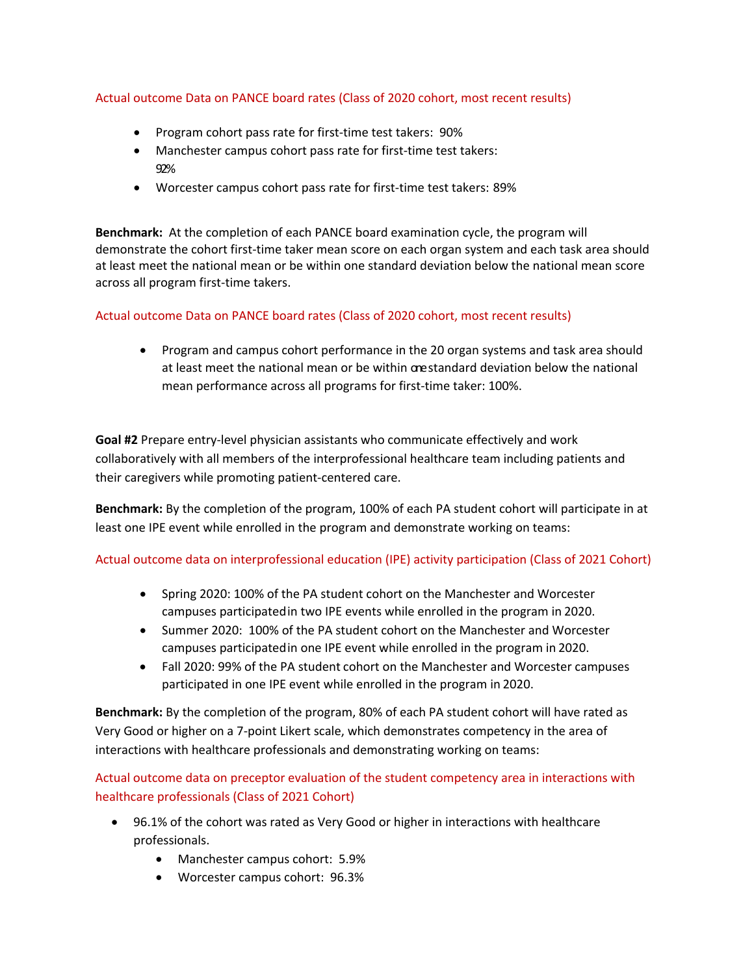## Actual outcome Data on PANCE board rates (Class of 2020 cohort, most recent results)

- Program cohort pass rate for first-time test takers: 90%
- • Manchester campus cohort pass rate for first-time test takers: 92%
- Worcester campus cohort pass rate for first-time test takers: 89%

 **Benchmark:** At the completion of each PANCE board examination cycle, the program will at least meet the national mean or be within one standard deviation below the national mean score across all program first-time takers. demonstrate the cohort first-time taker mean score on each organ system and each task area should

#### Actual outcome Data on PANCE board rates (Class of 2020 cohort, most recent results)

 • Program and campus cohort performance in the 20 organ systems and task area should at least meet the national mean or be within orestandard deviation below the national mean performance across all programs for first-time taker: 100%.

 collaboratively with all members of the interprofessional healthcare team including patients and their caregivers while promoting patient-centered care. **Goal #2** Prepare entry-level physician assistants who communicate effectively and work

**Benchmark:** By the completion of the program, 100% of each PA student cohort will participate in at least one IPE event while enrolled in the program and demonstrate working on teams:

## Actual outcome data on interprofessional education (IPE) activity participation (Class of 2021 Cohort)

- • Spring 2020: 100% of the PA student cohort on the Manchester and Worcester campuses participatedin two IPE events while enrolled in the program in 2020.
- • Summer 2020: 100% of the PA student cohort on the Manchester and Worcester campuses participatedin one IPE event while enrolled in the program in 2020.
- • Fall 2020: 99% of the PA student cohort on the Manchester and Worcester campuses participated in one IPE event while enrolled in the program in 2020.

 **Benchmark:** By the completion of the program, 80% of each PA student cohort will have rated as interactions with healthcare professionals and demonstrating working on teams: Very Good or higher on a 7-point Likert scale, which demonstrates competency in the area of

interactions with healthcare professionals and demonstrating working on teams:<br>Actual outcome data on preceptor evaluation of the student competency area in interactions with healthcare professionals (Class of 2021 Cohort)

- • 96.1% of the cohort was rated as Very Good or higher in interactions with healthcare professionals.
	- Manchester campus cohort: 5.9%
	- Worcester campus cohort: 96.3%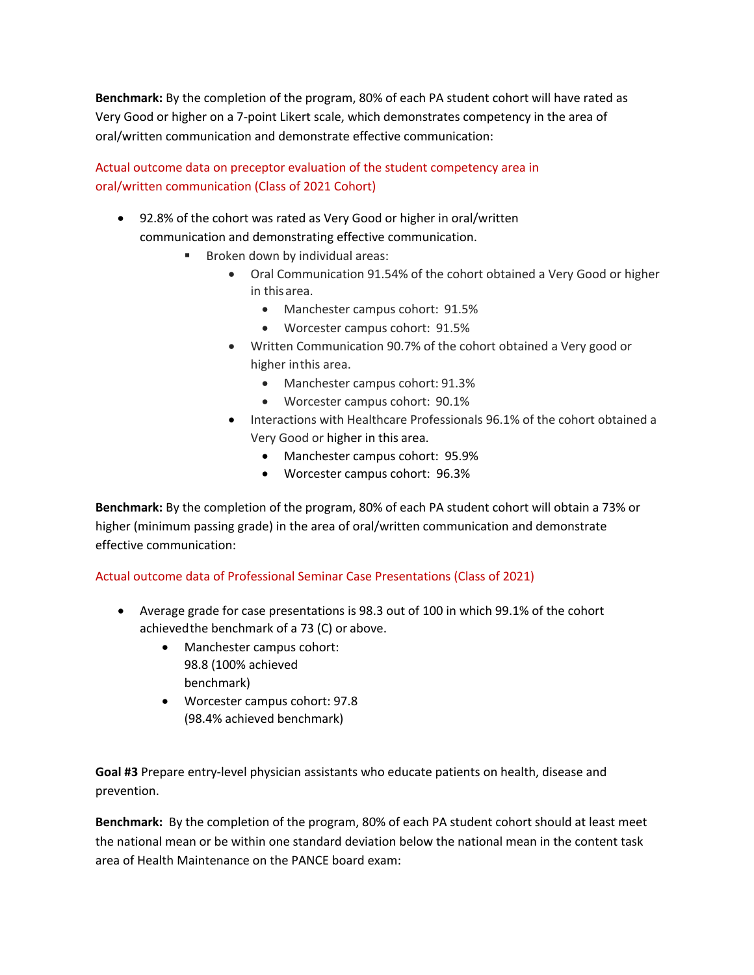**Benchmark:** By the completion of the program, 80% of each PA student cohort will have rated as Very Good or higher on a 7-point Likert scale, which demonstrates competency in the area of oral/written communication and demonstrate effective communication:

# Actual outcome data on preceptor evaluation of the student competency area in oral/written communication (Class of 2021 Cohort)

- • 92.8% of the cohort was rated as Very Good or higher in oral/written communication and demonstrating effective communication.
	- • Broken down by individual areas:
		- Oral Communication 91.54% of the cohort obtained a Very Good or higher in thisarea.
			- Manchester campus cohort: 91.5%
			- Worcester campus cohort: 91.5%
		- • Written Communication 90.7% of the cohort obtained a Very good or higher inthis area.
			- Manchester campus cohort: 91.3%
			- Worcester campus cohort: 90.1%
		- Interactions with Healthcare Professionals 96.1% of the cohort obtained a Very Good or higher in this area.
			- Manchester campus cohort: 95.9%
			- Worcester campus cohort: 96.3%

 **Benchmark:** By the completion of the program, 80% of each PA student cohort will obtain a 73% or higher (minimum passing grade) in the area of oral/written communication and demonstrate effective communication:

## Actual outcome data of Professional Seminar Case Presentations (Class of 2021)

- • Average grade for case presentations is 98.3 out of 100 in which 99.1% of the cohort achievedthe benchmark of a 73 (C) or above.
	- • Manchester campus cohort: 98.8 (100% achieved benchmark)
	- Worcester campus cohort: 97.8 (98.4% achieved benchmark)

 **Goal #3** Prepare entry-level physician assistants who educate patients on health, disease and prevention.

 **Benchmark:** By the completion of the program, 80% of each PA student cohort should at least meet the national mean or be within one standard deviation below the national mean in the content task area of Health Maintenance on the PANCE board exam: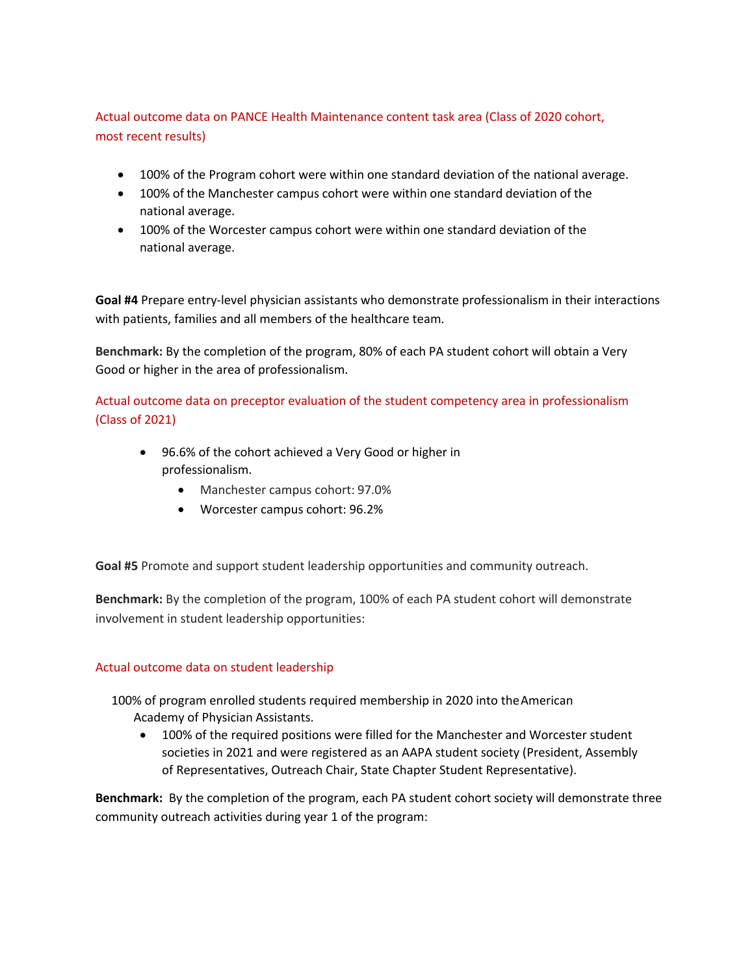Actual outcome data on PANCE Health Maintenance content task area (Class of 2020 cohort, most recent results)

- 100% of the Program cohort were within one standard deviation of the national average.
- • 100% of the Manchester campus cohort were within one standard deviation of the national average.
- • 100% of the Worcester campus cohort were within one standard deviation of the national average.

 with patients, families and all members of the healthcare team. **Goal #4** Prepare entry-level physician assistants who demonstrate professionalism in their interactions

 **Benchmark:** By the completion of the program, 80% of each PA student cohort will obtain a Very Good or higher in the area of professionalism.

 Actual outcome data on preceptor evaluation of the student competency area in professionalism (Class of 2021)

- • 96.6% of the cohort achieved a Very Good or higher in professionalism.
	- Manchester campus cohort: 97.0%
	- Worcester campus cohort: 96.2%

**Goal #5** Promote and support student leadership opportunities and community outreach.

 **Benchmark:** By the completion of the program, 100% of each PA student cohort will demonstrate involvement in student leadership opportunities:

## Actual outcome data on student leadership

 100% of program enrolled students required membership in 2020 into theAmerican Academy of Physician Assistants.

 • 100% of the required positions were filled for the Manchester and Worcester student societies in 2021 and were registered as an AAPA student society (President, Assembly of Representatives, Outreach Chair, State Chapter Student Representative).

 **Benchmark:** By the completion of the program, each PA student cohort society will demonstrate three community outreach activities during year 1 of the program: